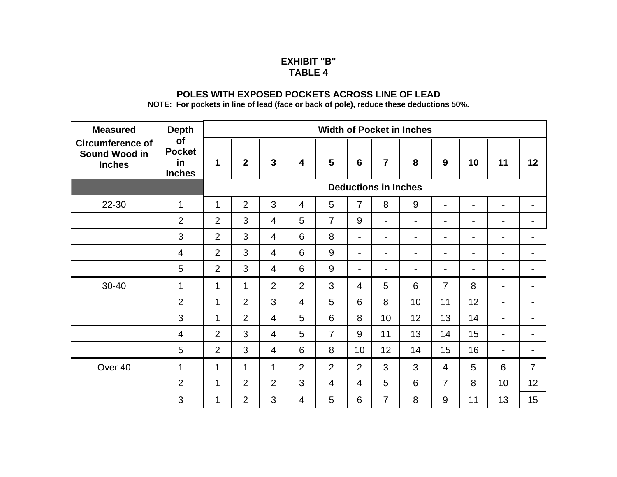## **EXHIBIT "B" TABLE 4**

## **POLES WITH EXPOSED POCKETS ACROSS LINE OF LEAD**

**NOTE: For pockets in line of lead (face or back of pole), reduce these deductions 50%.**

| <b>Measured</b><br><b>Circumference of</b><br>Sound Wood in<br><b>Inches</b> | <b>Depth</b><br>of<br><b>Pocket</b><br>in<br><b>Inches</b> | <b>Width of Pocket in Inches</b> |                |                |                         |                |                          |                          |    |                          |                          |                          |                |
|------------------------------------------------------------------------------|------------------------------------------------------------|----------------------------------|----------------|----------------|-------------------------|----------------|--------------------------|--------------------------|----|--------------------------|--------------------------|--------------------------|----------------|
|                                                                              |                                                            | 1                                | $\overline{2}$ | $\mathbf{3}$   | $\overline{\mathbf{4}}$ | 5              | 6                        | $\overline{7}$           | 8  | 9                        | 10                       | 11                       | 12             |
|                                                                              |                                                            | <b>Deductions in Inches</b>      |                |                |                         |                |                          |                          |    |                          |                          |                          |                |
| 22-30                                                                        | 1                                                          | 1                                | $\overline{2}$ | 3              | $\overline{4}$          | 5              | $\overline{7}$           | 8                        | 9  | $\blacksquare$           | $\overline{\phantom{0}}$ | $\overline{\phantom{0}}$ |                |
|                                                                              | $\overline{2}$                                             | $\overline{2}$                   | 3              | $\overline{4}$ | 5                       | $\overline{7}$ | 9                        | $\overline{\phantom{a}}$ | -  | $\blacksquare$           | $\overline{\phantom{0}}$ |                          |                |
|                                                                              | 3                                                          | $\overline{2}$                   | $\mathbf{3}$   | $\overline{4}$ | 6                       | 8              | $\overline{\phantom{a}}$ | $\overline{\phantom{a}}$ | -  | $\overline{\phantom{a}}$ | $\overline{\phantom{a}}$ | $\blacksquare$           |                |
|                                                                              | 4                                                          | 2                                | 3              | 4              | 6                       | 9              | $\overline{\phantom{0}}$ | $\blacksquare$           | -  | $\overline{\phantom{a}}$ | $\overline{\phantom{a}}$ | $\blacksquare$           |                |
|                                                                              | 5                                                          | 2                                | 3              | $\overline{4}$ | 6                       | 9              | $\overline{\phantom{a}}$ | $\blacksquare$           | -  | $\blacksquare$           | $\blacksquare$           | $\blacksquare$           |                |
| 30-40                                                                        | 1                                                          | $\mathbf{1}$                     | 1              | $\overline{2}$ | $\overline{2}$          | 3              | $\overline{4}$           | 5                        | 6  | $\overline{7}$           | 8                        | $\blacksquare$           |                |
|                                                                              | $\overline{2}$                                             | 1                                | $\overline{2}$ | 3              | $\overline{4}$          | 5              | 6                        | 8                        | 10 | 11                       | 12                       | $\blacksquare$           |                |
|                                                                              | 3                                                          | 1                                | $\overline{2}$ | $\overline{4}$ | 5                       | 6              | 8                        | 10                       | 12 | 13                       | 14                       | $\overline{\phantom{a}}$ |                |
|                                                                              | 4                                                          | $\overline{2}$                   | 3              | $\overline{4}$ | 5                       | $\overline{7}$ | 9                        | 11                       | 13 | 14                       | 15                       | $\blacksquare$           |                |
|                                                                              | 5                                                          | $\overline{2}$                   | 3              | $\overline{4}$ | 6                       | 8              | 10                       | 12                       | 14 | 15                       | 16                       | $\overline{\phantom{a}}$ |                |
| Over 40                                                                      | 1                                                          | $\mathbf 1$                      | $\mathbf 1$    | $\mathbf{1}$   | $\overline{2}$          | 2              | $\overline{2}$           | 3                        | 3  | $\overline{4}$           | 5                        | 6                        | $\overline{7}$ |
|                                                                              | $\overline{2}$                                             | 1                                | $\overline{2}$ | $\overline{2}$ | 3                       | $\overline{4}$ | $\overline{4}$           | 5                        | 6  | $\overline{7}$           | 8                        | 10                       | 12             |
|                                                                              | 3                                                          | 1                                | $\overline{2}$ | 3              | 4                       | 5              | 6                        | $\overline{7}$           | 8  | 9                        | 11                       | 13                       | 15             |